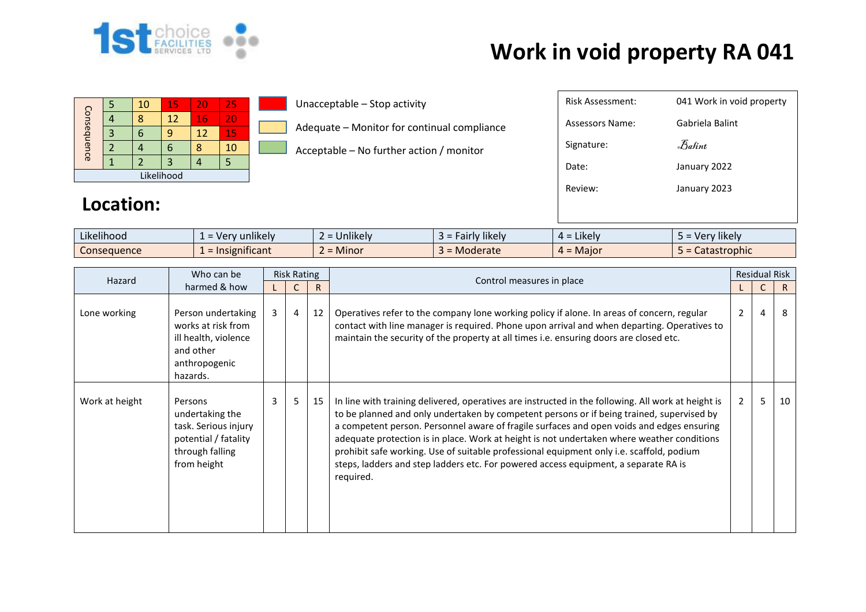

| Consequence |  | 10 | 15 | 20 | 25  |  |  |  |  |
|-------------|--|----|----|----|-----|--|--|--|--|
|             |  |    | 12 | 16 | VI. |  |  |  |  |
|             |  |    |    | 12 | 15  |  |  |  |  |
|             |  |    |    |    | 10  |  |  |  |  |
|             |  |    |    |    |     |  |  |  |  |
| Likelihood  |  |    |    |    |     |  |  |  |  |

Unacceptable – Stop activity

Adequate – Monitor for continual compliance

Acceptable – No further action / monitor

| Risk Assessment: | 041 Work in void property |
|------------------|---------------------------|
| Assessors Name:  | Gabriela Balint           |
| Signature:       | Balint                    |
| Date:            | January 2022              |
| Review:          | January 2023              |
|                  |                           |

#### **Location:**

| $\cdots$<br>$\cdots$<br>Likelihood | $\cdots$<br>unlikelv<br>$-ve^-$<br>$-$ | $\cdots$<br>∽<br><b>Jnlikely</b> | $\cdots$<br>cairly likely<br>-- | .<br>$4 =$ Likely | $\cdots$<br>Very likely |
|------------------------------------|----------------------------------------|----------------------------------|---------------------------------|-------------------|-------------------------|
| Consequence                        | nsignificant                           | -<br><b>Minor</b>                | Moderate                        | $4 =$ Major       | Catastrophic            |

| Hazard         | Who can be                                                                                                   | <b>Risk Rating</b> |                |              |                                                                                                                                                                                                                                                                                                                                                                                                                                                                                                                                                                                            |                | <b>Residual Risk</b> |    |
|----------------|--------------------------------------------------------------------------------------------------------------|--------------------|----------------|--------------|--------------------------------------------------------------------------------------------------------------------------------------------------------------------------------------------------------------------------------------------------------------------------------------------------------------------------------------------------------------------------------------------------------------------------------------------------------------------------------------------------------------------------------------------------------------------------------------------|----------------|----------------------|----|
|                | harmed & how                                                                                                 |                    |                | $\mathsf{R}$ | Control measures in place                                                                                                                                                                                                                                                                                                                                                                                                                                                                                                                                                                  |                |                      | R. |
| Lone working   | Person undertaking<br>works at risk from<br>ill health, violence<br>and other<br>anthropogenic<br>hazards.   | $\mathbf{3}$       | $\overline{4}$ | 12           | Operatives refer to the company lone working policy if alone. In areas of concern, regular<br>contact with line manager is required. Phone upon arrival and when departing. Operatives to<br>maintain the security of the property at all times i.e. ensuring doors are closed etc.                                                                                                                                                                                                                                                                                                        | $\overline{2}$ | 4                    | 8  |
| Work at height | Persons<br>undertaking the<br>task. Serious injury<br>potential / fatality<br>through falling<br>from height | 3                  | 5              | 15           | In line with training delivered, operatives are instructed in the following. All work at height is<br>to be planned and only undertaken by competent persons or if being trained, supervised by<br>a competent person. Personnel aware of fragile surfaces and open voids and edges ensuring<br>adequate protection is in place. Work at height is not undertaken where weather conditions<br>prohibit safe working. Use of suitable professional equipment only i.e. scaffold, podium<br>steps, ladders and step ladders etc. For powered access equipment, a separate RA is<br>required. | $2^{\circ}$    | 5                    | 10 |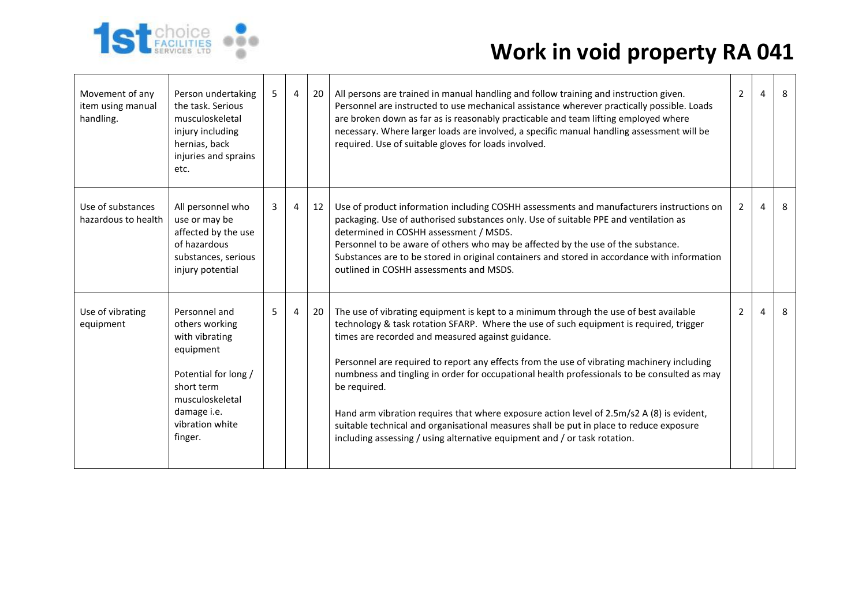

| Movement of any<br>item using manual<br>handling. | Person undertaking<br>the task. Serious<br>musculoskeletal<br>injury including<br>hernias, back<br>injuries and sprains<br>etc.                                      | 5 | 4              | 20 | All persons are trained in manual handling and follow training and instruction given.<br>Personnel are instructed to use mechanical assistance wherever practically possible. Loads<br>are broken down as far as is reasonably practicable and team lifting employed where<br>necessary. Where larger loads are involved, a specific manual handling assessment will be<br>required. Use of suitable gloves for loads involved.                                                                                                                                                                                                                                                                                        | $\overline{2}$ | $\overline{a}$ | 8 |
|---------------------------------------------------|----------------------------------------------------------------------------------------------------------------------------------------------------------------------|---|----------------|----|------------------------------------------------------------------------------------------------------------------------------------------------------------------------------------------------------------------------------------------------------------------------------------------------------------------------------------------------------------------------------------------------------------------------------------------------------------------------------------------------------------------------------------------------------------------------------------------------------------------------------------------------------------------------------------------------------------------------|----------------|----------------|---|
| Use of substances<br>hazardous to health          | All personnel who<br>use or may be<br>affected by the use<br>of hazardous<br>substances, serious<br>injury potential                                                 | 3 | $\overline{4}$ | 12 | Use of product information including COSHH assessments and manufacturers instructions on<br>packaging. Use of authorised substances only. Use of suitable PPE and ventilation as<br>determined in COSHH assessment / MSDS.<br>Personnel to be aware of others who may be affected by the use of the substance.<br>Substances are to be stored in original containers and stored in accordance with information<br>outlined in COSHH assessments and MSDS.                                                                                                                                                                                                                                                              | $\overline{2}$ | 4              | 8 |
| Use of vibrating<br>equipment                     | Personnel and<br>others working<br>with vibrating<br>equipment<br>Potential for long /<br>short term<br>musculoskeletal<br>damage i.e.<br>vibration white<br>finger. | 5 | $\overline{4}$ | 20 | The use of vibrating equipment is kept to a minimum through the use of best available<br>technology & task rotation SFARP. Where the use of such equipment is required, trigger<br>times are recorded and measured against guidance.<br>Personnel are required to report any effects from the use of vibrating machinery including<br>numbness and tingling in order for occupational health professionals to be consulted as may<br>be required.<br>Hand arm vibration requires that where exposure action level of 2.5m/s2 A (8) is evident,<br>suitable technical and organisational measures shall be put in place to reduce exposure<br>including assessing / using alternative equipment and / or task rotation. | $\overline{2}$ | 4              | 8 |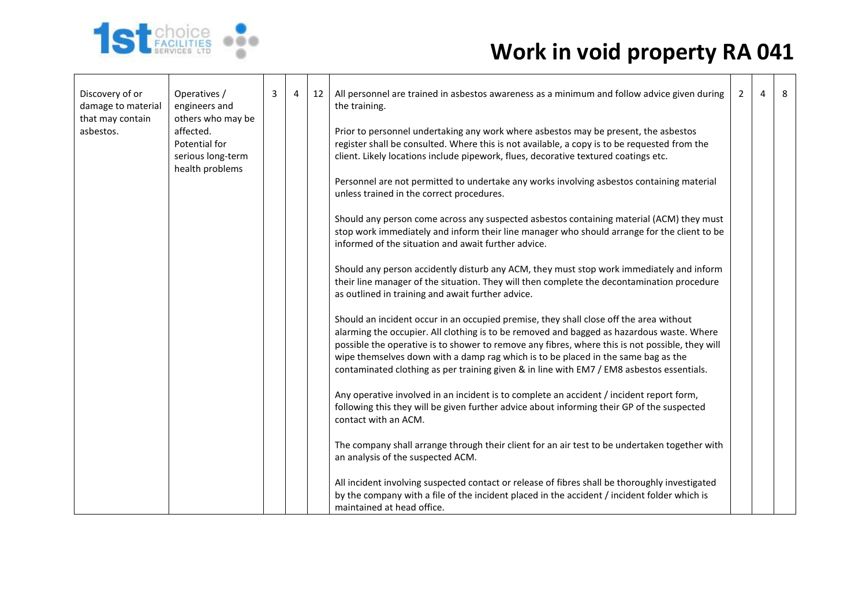

| Discovery of or<br>damage to material | Operatives /<br>engineers and                                                           | 3 | 4 | 12 | All personnel are trained in asbestos awareness as a minimum and follow advice given during<br>the training.                                                                                                                                                                                                                                                                                                                                                             | $\overline{2}$ | $\overline{4}$ | 8 |
|---------------------------------------|-----------------------------------------------------------------------------------------|---|---|----|--------------------------------------------------------------------------------------------------------------------------------------------------------------------------------------------------------------------------------------------------------------------------------------------------------------------------------------------------------------------------------------------------------------------------------------------------------------------------|----------------|----------------|---|
| that may contain<br>asbestos.         | others who may be<br>affected.<br>Potential for<br>serious long-term<br>health problems |   |   |    | Prior to personnel undertaking any work where asbestos may be present, the asbestos<br>register shall be consulted. Where this is not available, a copy is to be requested from the<br>client. Likely locations include pipework, flues, decorative textured coatings etc.                                                                                                                                                                                               |                |                |   |
|                                       |                                                                                         |   |   |    | Personnel are not permitted to undertake any works involving asbestos containing material<br>unless trained in the correct procedures.                                                                                                                                                                                                                                                                                                                                   |                |                |   |
|                                       |                                                                                         |   |   |    | Should any person come across any suspected asbestos containing material (ACM) they must<br>stop work immediately and inform their line manager who should arrange for the client to be<br>informed of the situation and await further advice.                                                                                                                                                                                                                           |                |                |   |
|                                       |                                                                                         |   |   |    | Should any person accidently disturb any ACM, they must stop work immediately and inform<br>their line manager of the situation. They will then complete the decontamination procedure<br>as outlined in training and await further advice.                                                                                                                                                                                                                              |                |                |   |
|                                       |                                                                                         |   |   |    | Should an incident occur in an occupied premise, they shall close off the area without<br>alarming the occupier. All clothing is to be removed and bagged as hazardous waste. Where<br>possible the operative is to shower to remove any fibres, where this is not possible, they will<br>wipe themselves down with a damp rag which is to be placed in the same bag as the<br>contaminated clothing as per training given & in line with EM7 / EM8 asbestos essentials. |                |                |   |
|                                       |                                                                                         |   |   |    | Any operative involved in an incident is to complete an accident / incident report form,<br>following this they will be given further advice about informing their GP of the suspected<br>contact with an ACM.                                                                                                                                                                                                                                                           |                |                |   |
|                                       |                                                                                         |   |   |    | The company shall arrange through their client for an air test to be undertaken together with<br>an analysis of the suspected ACM.                                                                                                                                                                                                                                                                                                                                       |                |                |   |
|                                       |                                                                                         |   |   |    | All incident involving suspected contact or release of fibres shall be thoroughly investigated<br>by the company with a file of the incident placed in the accident / incident folder which is<br>maintained at head office.                                                                                                                                                                                                                                             |                |                |   |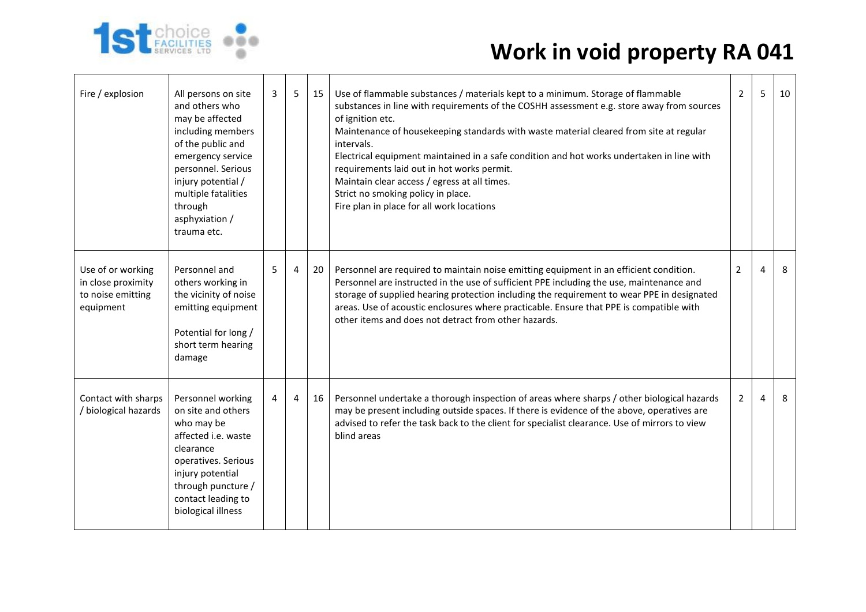

| Fire / explosion                                                          | All persons on site<br>and others who<br>may be affected<br>including members<br>of the public and<br>emergency service<br>personnel. Serious<br>injury potential /<br>multiple fatalities<br>through<br>asphyxiation /<br>trauma etc. | 3 | 5              | 15 | Use of flammable substances / materials kept to a minimum. Storage of flammable<br>substances in line with requirements of the COSHH assessment e.g. store away from sources<br>of ignition etc.<br>Maintenance of housekeeping standards with waste material cleared from site at regular<br>intervals.<br>Electrical equipment maintained in a safe condition and hot works undertaken in line with<br>requirements laid out in hot works permit.<br>Maintain clear access / egress at all times.<br>Strict no smoking policy in place.<br>Fire plan in place for all work locations | $\overline{2}$ | 5              | 10 |
|---------------------------------------------------------------------------|----------------------------------------------------------------------------------------------------------------------------------------------------------------------------------------------------------------------------------------|---|----------------|----|----------------------------------------------------------------------------------------------------------------------------------------------------------------------------------------------------------------------------------------------------------------------------------------------------------------------------------------------------------------------------------------------------------------------------------------------------------------------------------------------------------------------------------------------------------------------------------------|----------------|----------------|----|
| Use of or working<br>in close proximity<br>to noise emitting<br>equipment | Personnel and<br>others working in<br>the vicinity of noise<br>emitting equipment<br>Potential for long /<br>short term hearing<br>damage                                                                                              | 5 | 4              | 20 | Personnel are required to maintain noise emitting equipment in an efficient condition.<br>Personnel are instructed in the use of sufficient PPE including the use, maintenance and<br>storage of supplied hearing protection including the requirement to wear PPE in designated<br>areas. Use of acoustic enclosures where practicable. Ensure that PPE is compatible with<br>other items and does not detract from other hazards.                                                                                                                                                    | 2              | $\overline{a}$ | 8  |
| Contact with sharps<br>/ biological hazards                               | Personnel working<br>on site and others<br>who may be<br>affected i.e. waste<br>clearance<br>operatives. Serious<br>injury potential<br>through puncture /<br>contact leading to<br>biological illness                                 | 4 | $\overline{4}$ | 16 | Personnel undertake a thorough inspection of areas where sharps / other biological hazards<br>may be present including outside spaces. If there is evidence of the above, operatives are<br>advised to refer the task back to the client for specialist clearance. Use of mirrors to view<br>blind areas                                                                                                                                                                                                                                                                               | $\overline{2}$ | 4              | 8  |